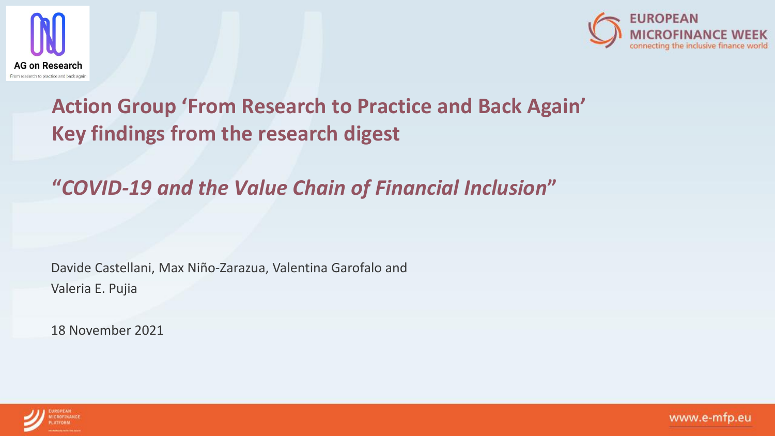



# **Action Group 'From Research to Practice and Back Again' Key findings from the research digest**

# **"***COVID-19 and the Value Chain of Financial Inclusion***"**

Davide Castellani, Max Niño-Zarazua, Valentina Garofalo and Valeria E. Pujia

18 November 2021

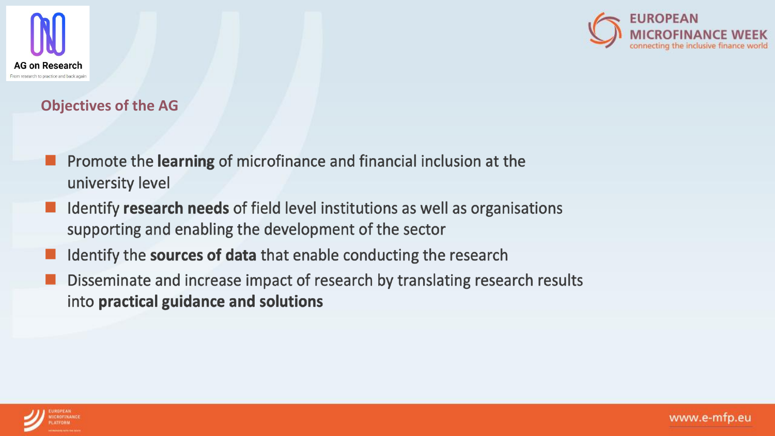



## **Objectives of the AG**

- Promote the learning of microfinance and financial inclusion at the university level
- Identify research needs of field level institutions as well as organisations supporting and enabling the development of the sector
- Identify the sources of data that enable conducting the research
- Disseminate and increase impact of research by translating research results into practical guidance and solutions

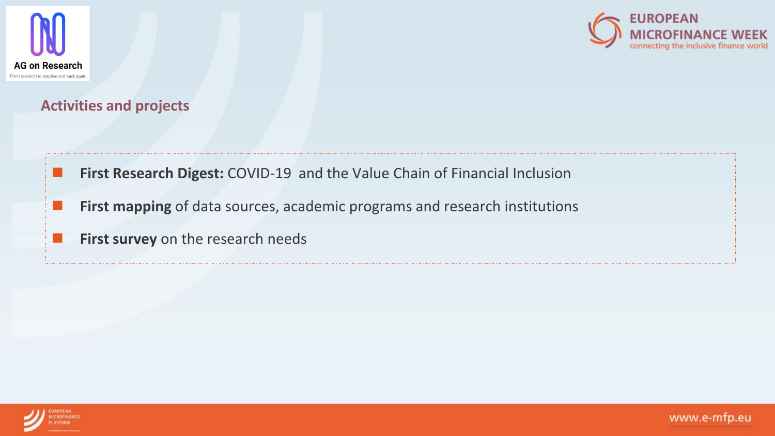



## **Activities and projects**

- First Research Digest: COVID-19 and the Value Chain of Financial Inclusion
	- **First mapping** of data sources, academic programs and research institutions
	- First survey on the research needs

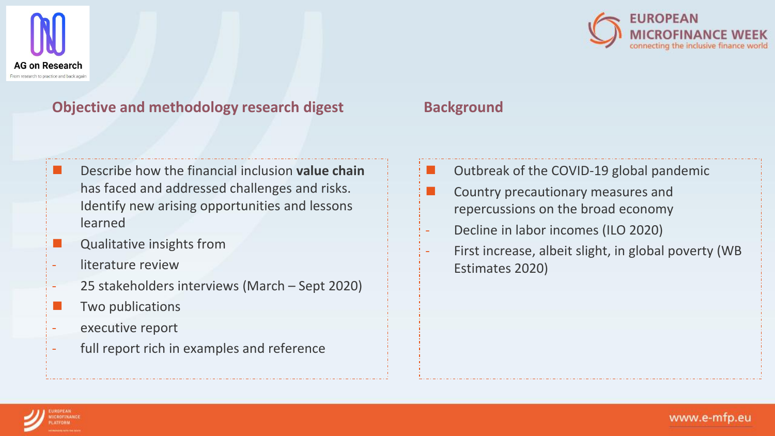

# **Objective and methodology research digest**

- ◼ Describe how the financial inclusion **value chain**  has faced and addressed challenges and risks. Identify new arising opportunities and lessons learned
- Qualitative insights from
- literature review
- 25 stakeholders interviews (March Sept 2020)
- Two publications
- executive report
- full report rich in examples and reference



# **Background**

- ◼ Outbreak of the COVID-19 global pandemic
- Country precautionary measures and repercussions on the broad economy
- Decline in labor incomes (ILO 2020)
- First increase, albeit slight, in global poverty (WB Estimates 2020)

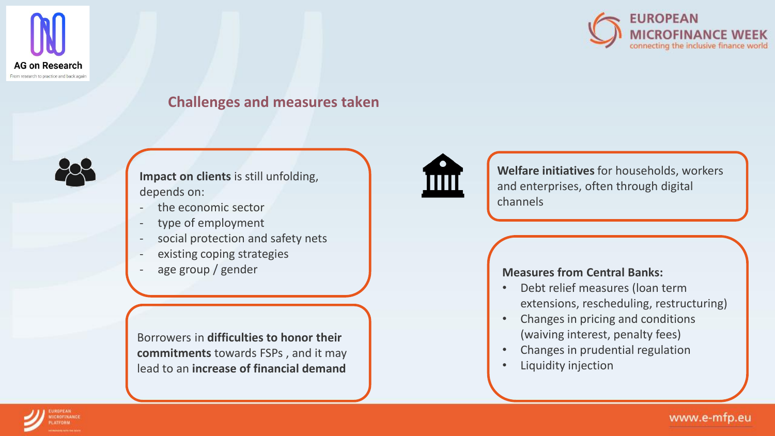



### **Challenges and measures taken**



**Impact on clients** is still unfolding, depends on:

- the economic sector
- type of employment
- social protection and safety nets
- existing coping strategies
- age group / gender

Borrowers in **difficulties to honor their commitments** towards FSPs , and it may lead to an **increase of financial demand**



**Welfare initiatives** for households, workers and enterprises, often through digital channels

#### **Measures from Central Banks:**

- Debt relief measures (loan term extensions, rescheduling, restructuring)
- Changes in pricing and conditions (waiving interest, penalty fees)
- Changes in prudential regulation
- Liquidity injection

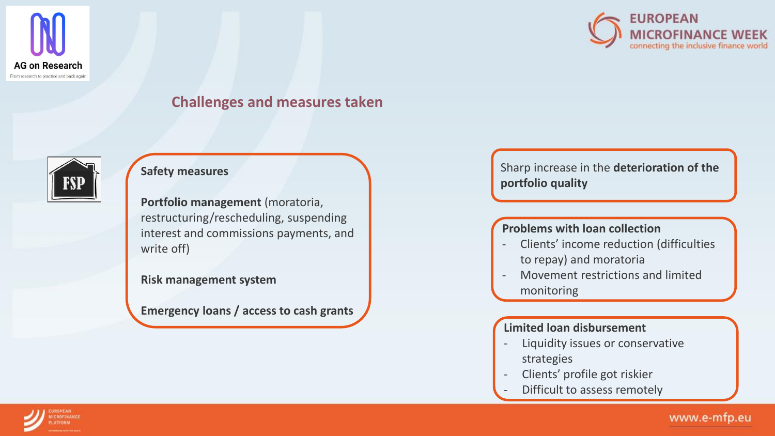



### **Challenges and measures taken**



#### **Safety measures**

**Portfolio management** (moratoria, restructuring/rescheduling, suspending interest and commissions payments, and write off)

#### **Risk management system**

**Emergency loans / access to cash grants**

Sharp increase in the **deterioration of the portfolio quality**

#### **Problems with loan collection**

- Clients' income reduction (difficulties to repay) and moratoria
- Movement restrictions and limited monitoring

#### **Limited loan disbursement**

- Liquidity issues or conservative strategies
- Clients' profile got riskier
- Difficult to assess remotely

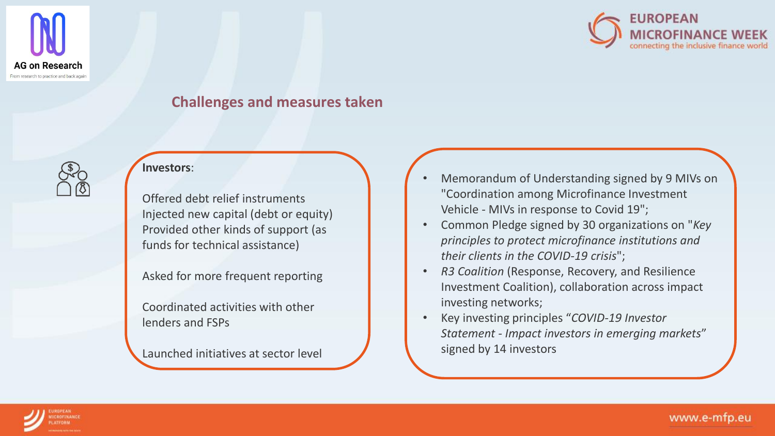



### **Challenges and measures taken**



#### **Investors**:

Offered debt relief instruments Injected new capital (debt or equity) Provided other kinds of support (as funds for technical assistance)

Asked for more frequent reporting

Coordinated activities with other lenders and FSPs

Launched initiatives at sector level

- Memorandum of Understanding signed by 9 MIVs on "Coordination among Microfinance Investment Vehicle - MIVs in response to Covid 19";
- Common Pledge signed by 30 organizations on "*Key principles to protect microfinance institutions and their clients in the COVID-19 crisis*";
- *R3 Coalition* (Response, Recovery, and Resilience Investment Coalition), collaboration across impact investing networks;
- Key investing principles "*COVID-19 Investor Statement - Impact investors in emerging markets*" signed by 14 investors

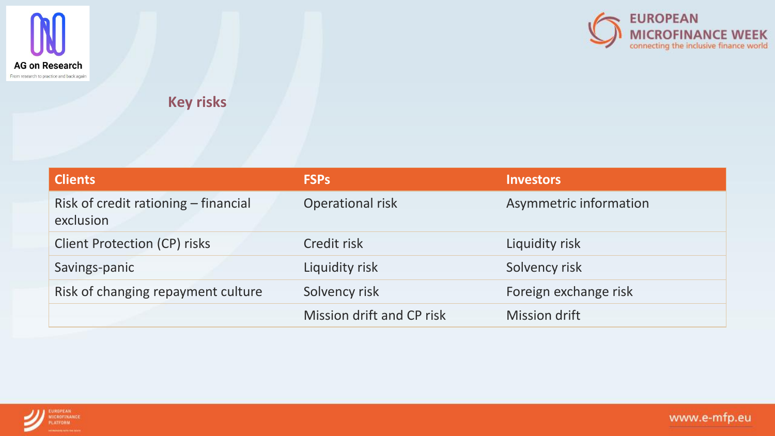



**Key risks**

| <b>Clients</b>                                    | <b>FSPs</b>               | <b>Investors</b>       |
|---------------------------------------------------|---------------------------|------------------------|
| Risk of credit rationing – financial<br>exclusion | Operational risk          | Asymmetric information |
| <b>Client Protection (CP) risks</b>               | Credit risk               | Liquidity risk         |
| Savings-panic                                     | Liquidity risk            | Solvency risk          |
| Risk of changing repayment culture                | Solvency risk             | Foreign exchange risk  |
|                                                   | Mission drift and CP risk | <b>Mission drift</b>   |

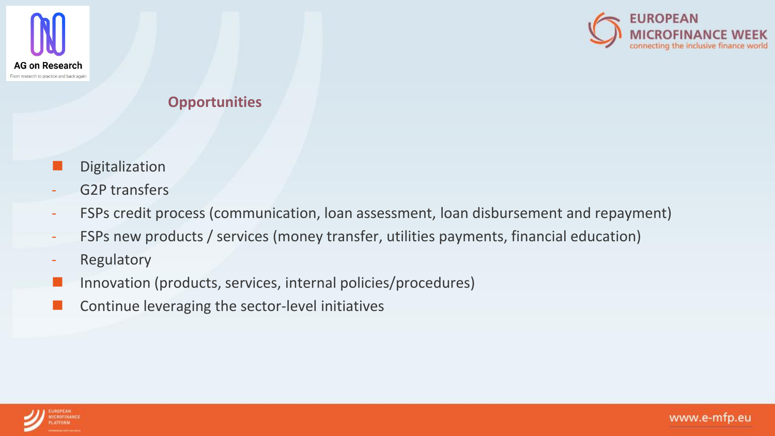



## **Opportunities**

- Digitalization
- G2P transfers
- FSPs credit process (communication, loan assessment, loan disbursement and repayment)
- FSPs new products / services (money transfer, utilities payments, financial education)
- Regulatory
- Innovation (products, services, internal policies/procedures)
- Continue leveraging the sector-level initiatives

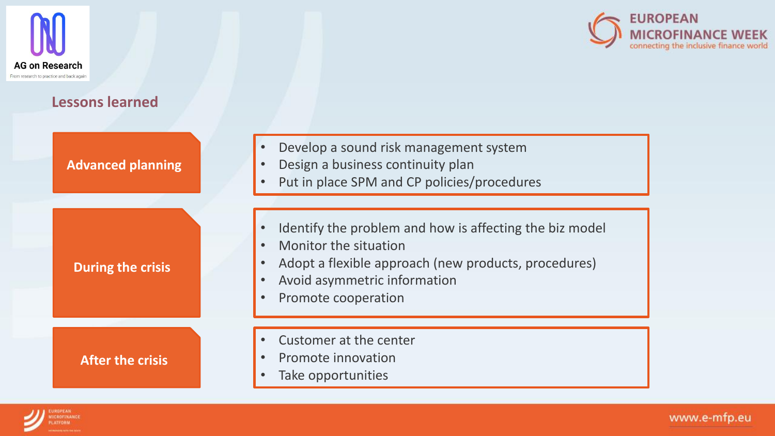



# **Lessons learned**

| <b>Advanced planning</b> | Develop a sound risk management system<br>$\bullet$<br>Design a business continuity plan<br>Put in place SPM and CP policies/procedures                                                         |
|--------------------------|-------------------------------------------------------------------------------------------------------------------------------------------------------------------------------------------------|
| <b>During the crisis</b> | Identify the problem and how is affecting the biz model<br>Monitor the situation<br>Adopt a flexible approach (new products, procedures)<br>Avoid asymmetric information<br>Promote cooperation |
| <b>After the crisis</b>  | Customer at the center<br>$\bullet$<br>Promote innovation<br>Take opportunities                                                                                                                 |

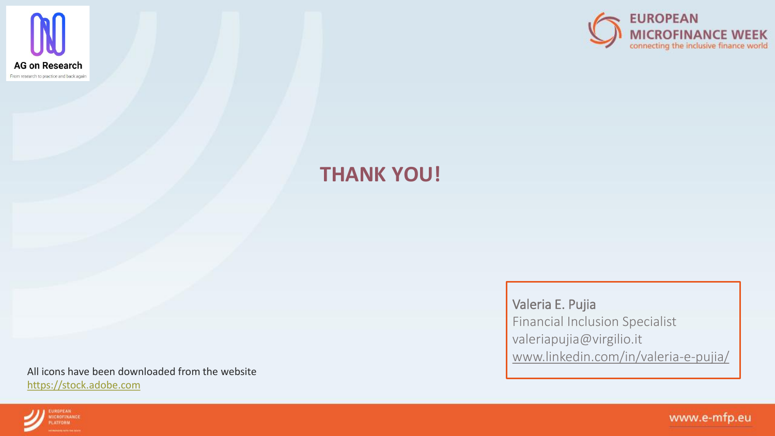

**UROPEAN** 

**ICROFINANCE** 



# **THANK YOU!**

All icons have been downloaded from the website [https://stock.adobe.com](https://stock.adobe.com/)

Valeria E. Pujia Financial Inclusion Specialist valeriapujia@virgilio.it [www.linkedin.com/in/valeria-e-pujia/](https://eur01.safelinks.protection.outlook.com/?url=http%3A%2F%2Fwww.linkedin.com%2Fin%2Fvaleria-e-pujia%2F&data=04%7C01%7Cjean-marc.debricon%40alterfin.be%7C9bd831ea38344d3f47c408d9a5046cae%7C602bb948f52f4d698fe72f96b0812b25%7C1%7C0%7C637722260712364920%7CUnknown%7CTWFpbGZsb3d8eyJWIjoiMC4wLjAwMDAiLCJQIjoiV2luMzIiLCJBTiI6Ik1haWwiLCJXVCI6Mn0%3D%7C1000&sdata=d8YQjWdxMT8cRLadTTElAthfYcm%2BEvgZ7tyx%2FU8mHx0%3D&reserved=0)

www.e-mfp.eu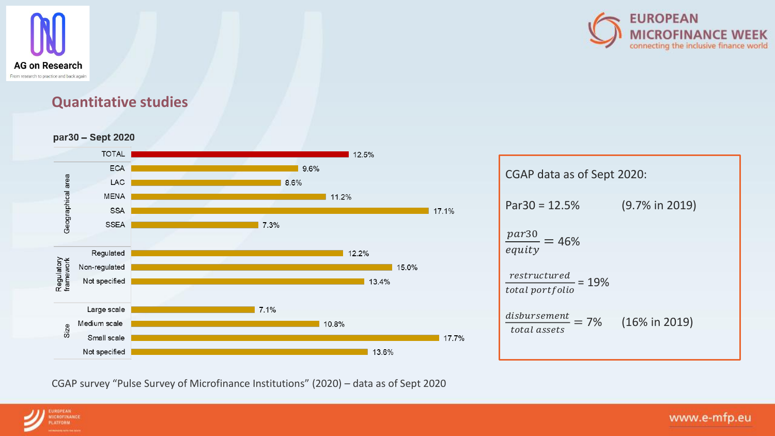



### **Quantitative studies**

#### par30 - Sept 2020



# CGAP data as of Sept 2020: Par30 = 12.5% (9.7% in 2019)  $\frac{par30}{earits} = 46\%$ equity  $\frac{restructured}{total\ portfolio}$  = 19%  $disbursement = 7%$ total assets  $(16\% \text{ in } 2019)$

CGAP survey "Pulse Survey of Microfinance Institutions" (2020) – data as of Sept 2020